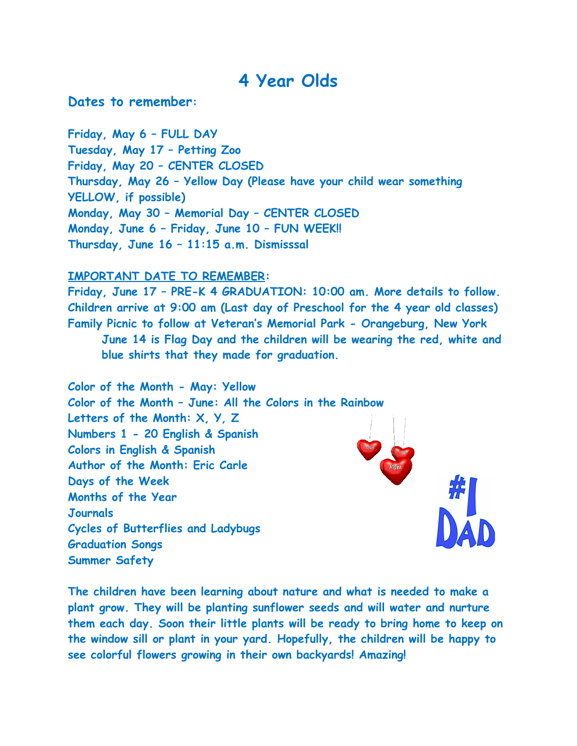## **4 Year Olds**

**Dates to remember:** 

**Friday, May 6 – FULL DAY Tuesday, May 17 – Petting Zoo Friday, May 20 – CENTER CLOSED Thursday, May 26 – Yellow Day (Please have your child wear something YELLOW, if possible) Monday, May 30 – Memorial Day – CENTER CLOSED Monday, June 6 – Friday, June 10 – FUN WEEK!! Thursday, June 16 – 11:15 a.m. Dismisssal**

## **IMPORTANT DATE TO REMEMBER:**

**Friday, June 17 – PRE-K 4 GRADUATION: 10:00 am. More details to follow. Children arrive at 9:00 am (Last day of Preschool for the 4 year old classes) Family Picnic to follow at Veteran's Memorial Park - Orangeburg, New York June 14 is Flag Day and the children will be wearing the red, white and blue shirts that they made for graduation.** 

**Color of the Month - May: Yellow Color of the Month – June: All the Colors in the Rainbow Letters of the Month: X, Y, Z Numbers 1 - 20 English & Spanish Colors in English & Spanish Author of the Month: Eric Carle Days of the Week Months of the Year Journals Cycles of Butterflies and Ladybugs Graduation Songs Summer Safety**

**The children have been learning about nature and what is needed to make a plant grow. They will be planting sunflower seeds and will water and nurture them each day. Soon their little plants will be ready to bring home to keep on the window sill or plant in your yard. Hopefully, the children will be happy to see colorful flowers growing in their own backyards! Amazing!**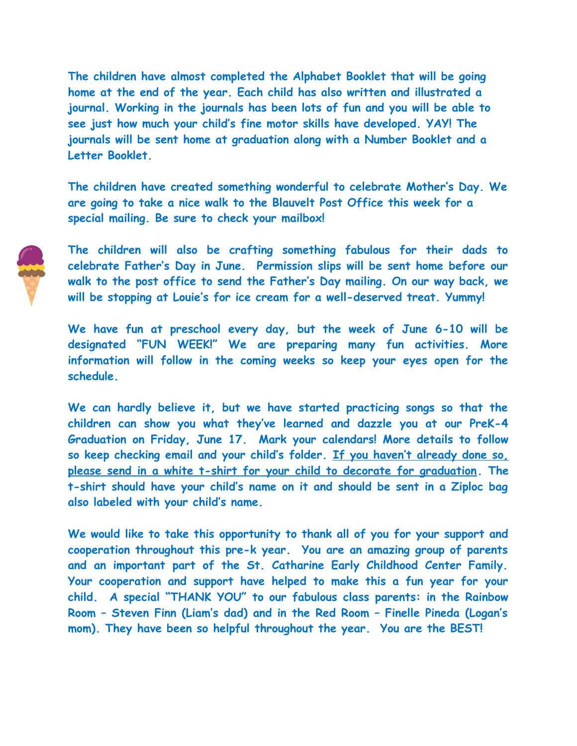**The children have almost completed the Alphabet Booklet that will be going home at the end of the year. Each child has also written and illustrated a journal. Working in the journals has been lots of fun and you will be able to see just how much your child's fine motor skills have developed. YAY! The journals will be sent home at graduation along with a Number Booklet and a Letter Booklet.**

**The children have created something wonderful to celebrate Mother's Day. We are going to take a nice walk to the Blauvelt Post Office this week for a special mailing. Be sure to check your mailbox!**



**The children will also be crafting something fabulous for their dads to celebrate Father's Day in June. Permission slips will be sent home before our walk to the post office to send the Father's Day mailing. On our way back, we will be stopping at Louie's for ice cream for a well-deserved treat. Yummy!** 

**We have fun at preschool every day, but the week of June 6-10 will be designated "FUN WEEK!" We are preparing many fun activities. More information will follow in the coming weeks so keep your eyes open for the schedule.**

**We can hardly believe it, but we have started practicing songs so that the children can show you what they've learned and dazzle you at our PreK-4 Graduation on Friday, June 17. Mark your calendars! More details to follow so keep checking email and your child's folder. If you haven't already done so, please send in a white t-shirt for your child to decorate for graduation. The t-shirt should have your child's name on it and should be sent in a Ziploc bag also labeled with your child's name.**

**We would like to take this opportunity to thank all of you for your support and cooperation throughout this pre-k year. You are an amazing group of parents and an important part of the St. Catharine Early Childhood Center Family. Your cooperation and support have helped to make this a fun year for your child. A special "THANK YOU" to our fabulous class parents: in the Rainbow Room – Steven Finn (Liam's dad) and in the Red Room – Finelle Pineda (Logan's mom). They have been so helpful throughout the year. You are the BEST!**